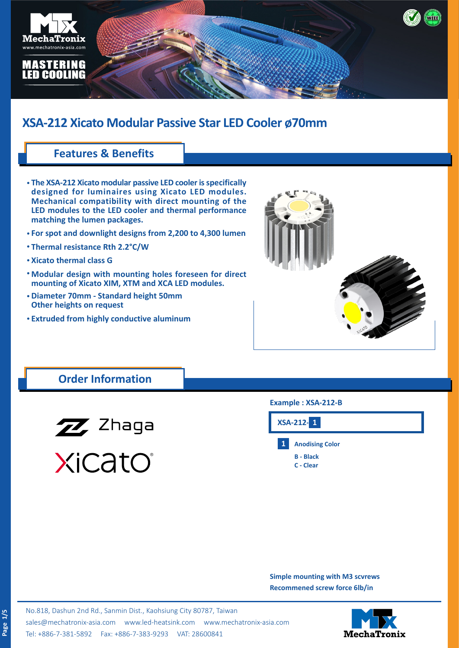

## **Features & Benefits**

- **The XSA-212 Xicato modular passive LED cooler is specifically • designed for luminaires using Xicato LED modules. Mechanical compatibility with direct mounting of the LED modules to the LED cooler and thermal performance matching the lumen packages.**
- **For spot and downlight designs from 2,200 to 4,300 lumen •**
- **Thermal resistance Rth 2.2°C/W •**
- **Xicato thermal class G •**
- **Modular design with mounting holes foreseen for direct • mounting of Xicato XIM, XTM and XCA LED modules.**
- **Diameter 70mm Standard height 50mm • Other heights on request**
- **Extruded from highly conductive aluminum •**



## **Order Information**



XiCatO®

#### **Example : XSA-212-B**



**Simple mounting with M3 scvrews Recommened screw force 6lb/in**

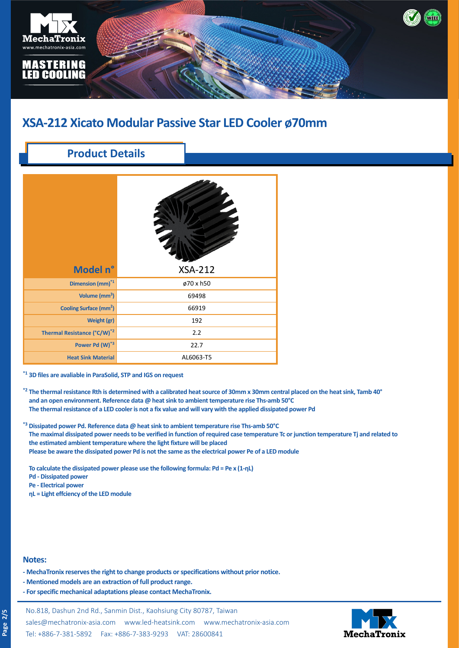

## **Product Details**

| Model n°                                | <b>XSA-212</b> |
|-----------------------------------------|----------------|
| Dimension (mm) <sup>*1</sup>            | ø70 x h50      |
| Volume (mm <sup>3</sup> )               | 69498          |
| Cooling Surface (mm <sup>2</sup> )      | 66919          |
| Weight (gr)                             | 192            |
| Thermal Resistance (°C/W) <sup>*2</sup> | 2.2            |
| Power Pd (W)*3                          | 22.7           |
| <b>Heat Sink Material</b>               | AL6063-T5      |

**\*1 3D files are avaliable in ParaSolid, STP and IGS on request**

- **\*2 The thermal resistance Rth is determined with a calibrated heat source of 30mm x 30mm central placed on the heat sink, Tamb 40°** and an open environment. Reference data @ heat sink to ambient temperature rise Ths-amb 50°C **\*3 The thermal resistance of a LED cooler is not a fix value and will vary with the applied dissipated power Pd**
- **\*3 Dissipated power Pd. Reference data @ heat sink to ambient temperature rise Ths-amb 50°C The maximal dissipated power needs to be verified in function of required case temperature Tc or junction temperature Tj and related to the estimated ambient temperature where the light fixture will be placed Please be aware the dissipated power Pd is not the same as the electrical power Pe of a LED module**

**To calculate the dissipated power please use the following formula: Pd = Pe x (1-ηL)**

- **Pd Dissipated power**
- **Pe Electrical power**
- **ηL = Light effciency of the LED module**

#### **Notes:**

- **MechaTronix reserves the right to change products or specifications without prior notice.**
- **Mentioned models are an extraction of full product range.**
- **For specific mechanical adaptations please contact MechaTronix.**

No.818, Dashun 2nd Rd., Sanmin Dist., Kaohsiung City 80787, Taiwan [sales@mechatronix-asia.com](mailto:sales%40mechatronix-asia.com?subject=) [www.led-heatsink.com](http://www.led-heatsink.com) [www.mechatronix-asia.com](http://www.mechatronix-asia.com) Tel: +886-7-381-5892 Fax: +886-7-383-9293 VAT: 28600841

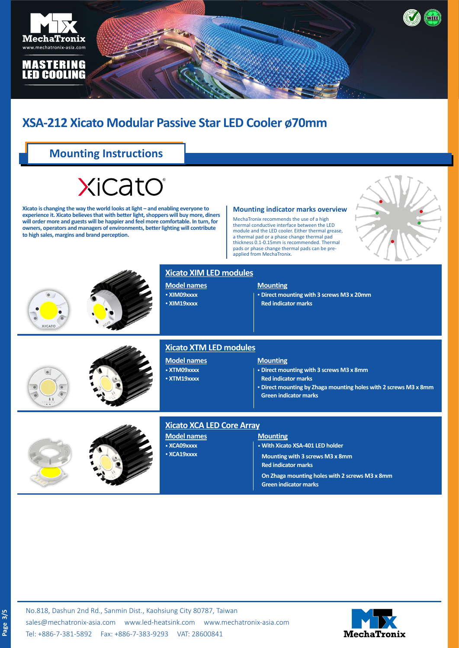

## **Mounting Instructions**

# XiCatO

**Xicato is changing the way the world looks at light – and enabling everyone to experience it. Xicato believes that with better light, shoppers will buy more, diners will order more and guests will be happier and feel more comfortable. In turn, for owners, operators and managers of environments, better lighting will contribute to high sales, margins and brand perception.**

#### **Mounting indicator marks overview**

MechaTronix recommends the use of a high thermal conductive interface between the LED module and the LED cooler. Either thermal grease, a thermal pad or a phase change thermal pad thickness 0.1-0.15mm is recommended. Thermal pads or phase change thermal pads can be preapplied from MechaTronix.







#### **Xicato XIM LED modules**

**Model names** • **XIM09xxxx** • **XIM19xxxx**

#### **Mounting**

• **Direct mounting with 3 screws M3 x 20mm Red indicator marks**





#### **Xicato XTM LED modules**

**Model names** • **XTM09xxxx** • **XTM19xxxx**

#### **Mounting**

• **Direct mounting with 3 screws M3 x 8mm**

- **Red indicator marks**
- • **Direct mounting by Zhaga mounting holes with 2 screws M3 x 8mm Green indicator marks**



## **Model names** • **XCA09xxxx**

• **XCA19xxxx**

### **Xicato XCA LED Core Array**

**Mounting** • **With Xicato XSA-401 LED holder Mounting with 3 screws M3 x 8mm Red indicator marks**

**On Zhaga mounting holes with 2 screws M3 x 8mm Green indicator marks**

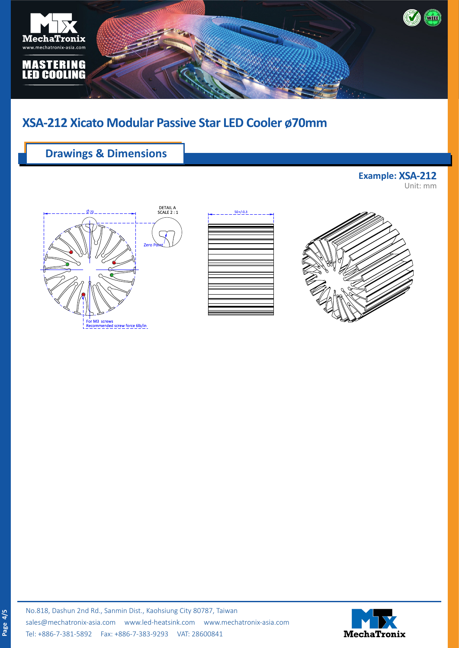

## **Drawings & Dimensions**

**Example: XSA-212** Unit: mm







**Page 4/5**